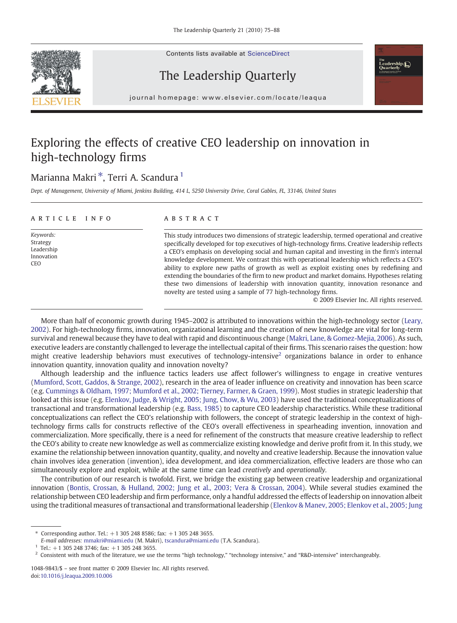Contents lists available at ScienceDirect





### The Leadership Quarterly

journal homepage: www.elsevier.com/locate/leaqua

## Exploring the effects of creative CEO leadership on innovation in high-technology firms

### Marianna Makri<sup>\*</sup>, Terri A. Scandura<sup>1</sup>

Dept. of Management, University of Miami, Jenkins Building, 414 L, 5250 University Drive, Coral Gables, FL, 33146, United States

| ARTICLE INFO                                             | <b>ABSTRACT</b>                                                                                                                                                                                                                                                                                                                                                                                                                                                                                                                                                                                                                                                                                                                                        |
|----------------------------------------------------------|--------------------------------------------------------------------------------------------------------------------------------------------------------------------------------------------------------------------------------------------------------------------------------------------------------------------------------------------------------------------------------------------------------------------------------------------------------------------------------------------------------------------------------------------------------------------------------------------------------------------------------------------------------------------------------------------------------------------------------------------------------|
| Keywords:<br>Strategy<br>Leadership<br>Innovation<br>CEO | This study introduces two dimensions of strategic leadership, termed operational and creative<br>specifically developed for top executives of high-technology firms. Creative leadership reflects<br>a CEO's emphasis on developing social and human capital and investing in the firm's internal<br>knowledge development. We contrast this with operational leadership which reflects a CEO's<br>ability to explore new paths of growth as well as exploit existing ones by redefining and<br>extending the boundaries of the firm to new product and market domains. Hypotheses relating<br>these two dimensions of leadership with innovation quantity, innovation resonance and<br>novelty are tested using a sample of 77 high-technology firms. |
|                                                          |                                                                                                                                                                                                                                                                                                                                                                                                                                                                                                                                                                                                                                                                                                                                                        |

© 2009 Elsevier Inc. All rights reserved.

More than half of economic growth during 1945–2002 is attributed to innovations within the high-technology sector ([Leary,](#page--1-0) [2002](#page--1-0)). For high-technology firms, innovation, organizational learning and the creation of new knowledge are vital for long-term survival and renewal because they have to deal with rapid and discontinuous change ([Makri, Lane, & Gomez-Mejia, 2006](#page--1-0)). As such, executive leaders are constantly challenged to leverage the intellectual capital of their firms. This scenario raises the question: how might creative leadership behaviors must executives of technology-intensive<sup>2</sup> organizations balance in order to enhance innovation quantity, innovation quality and innovation novelty?

Although leadership and the influence tactics leaders use affect follower's willingness to engage in creative ventures [\(Mumford, Scott, Gaddos, & Strange, 2002\)](#page--1-0), research in the area of leader influence on creativity and innovation has been scarce (e.g. [Cummings & Oldham, 1997; Mumford et al., 2002; Tierney, Farmer, & Graen, 1999](#page--1-0)). Most studies in strategic leadership that looked at this issue (e.g. [Elenkov, Judge, & Wright, 2005; Jung, Chow, & Wu, 2003\)](#page--1-0) have used the traditional conceptualizations of transactional and transformational leadership (e.g. [Bass, 1985](#page--1-0)) to capture CEO leadership characteristics. While these traditional conceptualizations can reflect the CEO's relationship with followers, the concept of strategic leadership in the context of hightechnology firms calls for constructs reflective of the CEO's overall effectiveness in spearheading invention, innovation and commercialization. More specifically, there is a need for refinement of the constructs that measure creative leadership to reflect the CEO's ability to create new knowledge as well as commercialize existing knowledge and derive profit from it. In this study, we examine the relationship between innovation quantity, quality, and novelty and creative leadership. Because the innovation value chain involves idea generation (invention), idea development, and idea commercialization, effective leaders are those who can simultaneously explore and exploit, while at the same time can lead creatively and operationally.

The contribution of our research is twofold. First, we bridge the existing gap between creative leadership and organizational innovation [\(Bontis, Crossan, & Hulland, 2002; Jung et al., 2003; Vera & Crossan, 2004\)](#page--1-0). While several studies examined the relationship between CEO leadership and firm performance, only a handful addressed the effects of leadership on innovation albeit using the traditional measures of transactional and transformational leadership [\(Elenkov & Manev, 2005; Elenkov et al., 2005; Jung](#page--1-0)

<sup>⁎</sup> Corresponding author. Tel.: +1 305 248 8586; fax: +1 305 248 3655.

E-mail addresses: [mmakri@miami.edu](mailto:mmakri@miami.edu) (M. Makri), [tscandura@miami.edu](mailto:tscandura@miami.edu) (T.A. Scandura).

 $1$  Tel.: +1 305 248 3746; fax: +1 305 248 3655.

<sup>&</sup>lt;sup>2</sup> Consistent with much of the literature, we use the terms "high technology," "technology intensive," and "R&D-intensive" interchangeably.

<sup>1048-9843/\$</sup> – see front matter © 2009 Elsevier Inc. All rights reserved. doi[:10.1016/j.leaqua.2009.10.006](http://dx.doi.org/10.1016/j.leaqua.2009.10.006)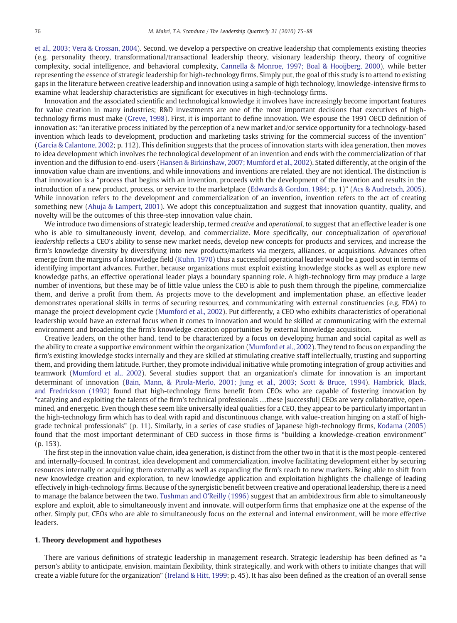[et al., 2003; Vera & Crossan, 2004](#page--1-0)). Second, we develop a perspective on creative leadership that complements existing theories (e.g. personality theory, transformational/transactional leadership theory, visionary leadership theory, theory of cognitive complexity, social intelligence, and behavioral complexity, [Cannella & Monroe, 1997; Boal & Hooijberg, 2000\)](#page--1-0), while better representing the essence of strategic leadership for high-technology firms. Simply put, the goal of this study is to attend to existing gaps in the literature between creative leadership and innovation using a sample of high technology, knowledge-intensive firms to examine what leadership characteristics are significant for executives in high-technology firms.

Innovation and the associated scientific and technological knowledge it involves have increasingly become important features for value creation in many industries; R&D investments are one of the most important decisions that executives of hightechnology firms must make [\(Greve, 1998](#page--1-0)). First, it is important to define innovation. We espouse the 1991 OECD definition of innovation as: "an iterative process initiated by the perception of a new market and/or service opportunity for a technology-based invention which leads to development, production and marketing tasks striving for the commercial success of the invention" ([Garcia & Calantone, 2002](#page--1-0); p. 112). This definition suggests that the process of innovation starts with idea generation, then moves to idea development which involves the technological development of an invention and ends with the commercialization of that invention and the diffusion to end-users ([Hansen & Birkinshaw, 2007; Mumford et al., 2002](#page--1-0)). Stated differently, at the origin of the innovation value chain are inventions, and while innovations and inventions are related, they are not identical. The distinction is that innovation is a "process that begins with an invention, proceeds with the development of the invention and results in the introduction of a new product, process, or service to the marketplace [\(Edwards & Gordon, 1984](#page--1-0); p. 1)" ([Acs & Audretsch, 2005](#page--1-0)). While innovation refers to the development and commercialization of an invention, invention refers to the act of creating something new ([Ahuja & Lampert, 2001\)](#page--1-0). We adopt this conceptualization and suggest that innovation quantity, quality, and novelty will be the outcomes of this three-step innovation value chain.

We introduce two dimensions of strategic leadership, termed *creative* and *operational*, to suggest that an effective leader is one who is able to simultaneously invent, develop, and commercialize. More specifically, our conceptualization of operational leadership reflects a CEO's ability to sense new market needs, develop new concepts for products and services, and increase the firm's knowledge diversity by diversifying into new products/markets via mergers, alliances, or acquisitions. Advances often emerge from the margins of a knowledge field ([Kuhn, 1970](#page--1-0)) thus a successful operational leader would be a good scout in terms of identifying important advances. Further, because organizations must exploit existing knowledge stocks as well as explore new knowledge paths, an effective operational leader plays a boundary spanning role. A high-technology firm may produce a large number of inventions, but these may be of little value unless the CEO is able to push them through the pipeline, commercialize them, and derive a profit from them. As projects move to the development and implementation phase, an effective leader demonstrates operational skills in terms of securing resources, and communicating with external constituencies (e.g. FDA) to manage the project development cycle ([Mumford et al., 2002](#page--1-0)). Put differently, a CEO who exhibits characteristics of operational leadership would have an external focus when it comes to innovation and would be skilled at communicating with the external environment and broadening the firm's knowledge-creation opportunities by external knowledge acquisition.

Creative leaders, on the other hand, tend to be characterized by a focus on developing human and social capital as well as the ability to create a supportive environment within the organization ([Mumford et al., 2002](#page--1-0)). They tend to focus on expanding the firm's existing knowledge stocks internally and they are skilled at stimulating creative staff intellectually, trusting and supporting them, and providing them latitude. Further, they promote individual initiative while promoting integration of group activities and teamwork [\(Mumford et al., 2002\)](#page--1-0). Several studies support that an organization's climate for innovation is an important determinant of innovation ([Bain, Mann, & Pirola-Merlo, 2001; Jung et al., 2003; Scott & Bruce, 1994](#page--1-0)). [Hambrick, Black,](#page--1-0) [and Fredrickson \(1992\)](#page--1-0) found that high-technology firms benefit from CEOs who are capable of fostering innovation by "catalyzing and exploiting the talents of the firm's technical professionals …these [successful] CEOs are very collaborative, openmined, and energetic. Even though these seem like universally ideal qualities for a CEO, they appear to be particularly important in the high-technology firm which has to deal with rapid and discontinuous change, with value-creation hinging on a staff of highgrade technical professionals" (p. 11). Similarly, in a series of case studies of Japanese high-technology firms, [Kodama \(2005\)](#page--1-0) found that the most important determinant of CEO success in those firms is "building a knowledge-creation environment" (p. 153).

The first step in the innovation value chain, idea generation, is distinct from the other two in that it is the most people-centered and internally-focused. In contrast, idea development and commercialization, involve facilitating development either by securing resources internally or acquiring them externally as well as expanding the firm's reach to new markets. Being able to shift from new knowledge creation and exploration, to new knowledge application and exploitation highlights the challenge of leading effectively in high-technology firms. Because of the synergistic benefit between creative and operational leadership, there is a need to manage the balance between the two. [Tushman and O'Reilly \(1996\)](#page--1-0) suggest that an ambidextrous firm able to simultaneously explore and exploit, able to simultaneously invent and innovate, will outperform firms that emphasize one at the expense of the other. Simply put, CEOs who are able to simultaneously focus on the external and internal environment, will be more effective leaders.

#### 1. Theory development and hypotheses

There are various definitions of strategic leadership in management research. Strategic leadership has been defined as "a person's ability to anticipate, envision, maintain flexibility, think strategically, and work with others to initiate changes that will create a viable future for the organization" [\(Ireland & Hitt, 1999](#page--1-0); p. 45). It has also been defined as the creation of an overall sense